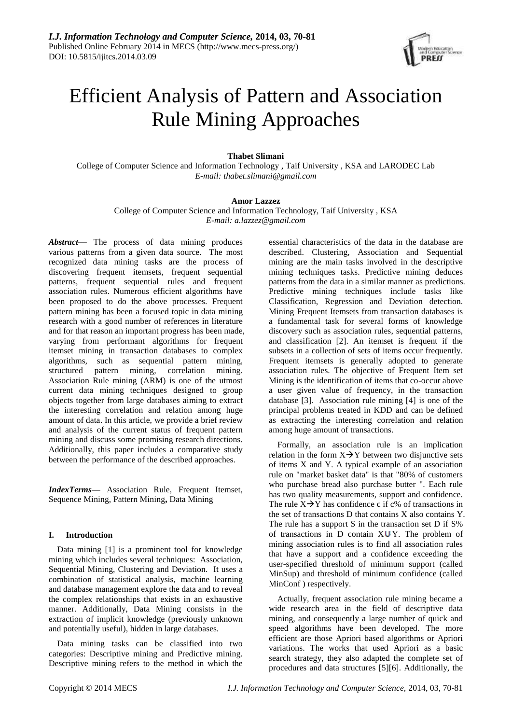

# Efficient Analysis of Pattern and Association Rule Mining Approaches

# **Thabet Slimani**

College of Computer Science and Information Technology , Taif University , KSA and LARODEC Lab *E-mail: thabet.slimani@gmail.com*

# **Amor Lazzez**

College of Computer Science and Information Technology, Taif University , KSA *E-mail: [a.lazzez@gm](mailto:a.lazzez@g)ail.com*

*Abstract*— The process of data mining produces various patterns from a given data source. The most recognized data mining tasks are the process of discovering frequent itemsets, frequent sequential patterns, frequent sequential rules and frequent association rules. Numerous efficient algorithms have been proposed to do the above processes. Frequent pattern mining has been a focused topic in data mining research with a good number of references in literature and for that reason an important progress has been made, varying from performant algorithms for frequent itemset mining in transaction databases to complex algorithms, such as sequential pattern mining, structured pattern mining, correlation mining. Association Rule mining (ARM) is one of the utmost current data mining techniques designed to group objects together from large databases aiming to extract the interesting correlation and relation among huge amount of data. In this article, we provide a brief review and analysis of the current status of frequent pattern mining and discuss some promising research directions. Additionally, this paper includes a comparative study between the performance of the described approaches.

*IndexTerms***—** Association Rule, Frequent Itemset, Sequence Mining, Pattern Mining**,** Data Mining

# **I. Introduction**

Data mining [1] is a prominent tool for knowledge mining which includes several techniques: Association, Sequential Mining, Clustering and Deviation. It uses a combination of statistical analysis, machine learning and database management explore the data and to reveal the complex relationships that exists in an exhaustive manner. Additionally, Data Mining consists in the extraction of implicit knowledge (previously unknown and potentially useful), hidden in large databases.

Data mining tasks can be classified into two categories: Descriptive mining and Predictive mining. Descriptive mining refers to the method in which the essential characteristics of the data in the database are described. Clustering, Association and Sequential mining are the main tasks involved in the descriptive mining techniques tasks. Predictive mining deduces patterns from the data in a similar manner as predictions. Predictive mining techniques include tasks like Classification, Regression and Deviation detection. Mining Frequent Itemsets from transaction databases is a fundamental task for several forms of knowledge discovery such as association rules, sequential patterns, and classification [2]. An itemset is frequent if the subsets in a collection of sets of items occur frequently. Frequent itemsets is generally adopted to generate association rules. The objective of Frequent Item set Mining is the identification of items that co-occur above a user given value of frequency, in the transaction database [3]. Association rule mining [4] is one of the principal problems treated in KDD and can be defined as extracting the interesting correlation and relation among huge amount of transactions.

Formally, an association rule is an implication relation in the form  $X \rightarrow Y$  between two disjunctive sets of items X and Y. A typical example of an association rule on "market basket data" is that "80% of customers who purchase bread also purchase butter ". Each rule has two quality measurements, support and confidence. The rule  $X \rightarrow Y$  has confidence c if c% of transactions in the set of transactions D that contains X also contains Y. The rule has a support S in the transaction set D if S% of transactions in D contain  $X\cup Y$ . The problem of mining association rules is to find all association rules that have a support and a confidence exceeding the user-specified threshold of minimum support (called MinSup) and threshold of minimum confidence (called MinConf ) respectively.

Actually, frequent association rule mining became a wide research area in the field of descriptive data mining, and consequently a large number of quick and speed algorithms have been developed. The more efficient are those Apriori based algorithms or Apriori variations. The works that used Apriori as a basic search strategy, they also adapted the complete set of procedures and data structures [5][6]. Additionally, the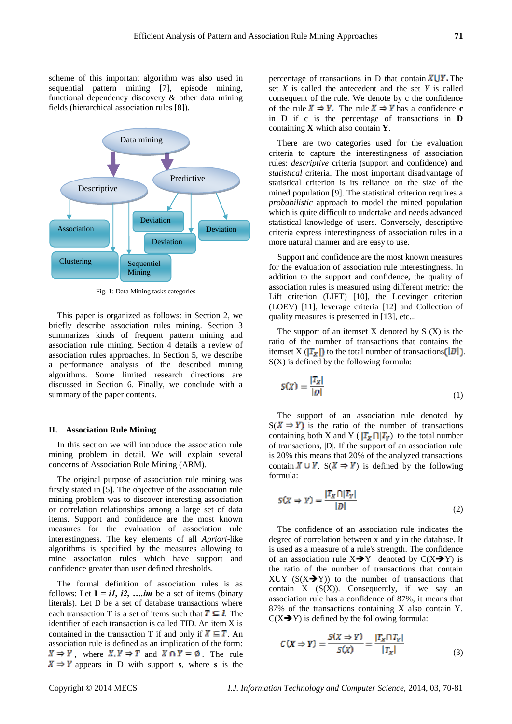scheme of this important algorithm was also used in sequential pattern mining [7], episode mining, functional dependency discovery & other data mining fields (hierarchical association rules [8]).



Fig. 1: Data Mining tasks categories

This paper is organized as follows: in Section 2, we briefly describe association rules mining. Section 3 summarizes kinds of frequent pattern mining and association rule mining. Section 4 details a review of association rules approaches. In Section 5, we describe a performance analysis of the described mining algorithms. Some limited research directions are discussed in Section 6. Finally, we conclude with a summary of the paper contents.

#### **II. Association Rule Mining**

In this section we will introduce the association rule mining problem in detail. We will explain several concerns of Association Rule Mining (ARM).

The original purpose of association rule mining was firstly stated in [5]. The objective of the association rule mining problem was to discover interesting association or correlation relationships among a large set of data items. Support and confidence are the most known measures for the evaluation of association rule interestingness. The key elements of all *Apriori*-like algorithms is specified by the measures allowing to mine association rules which have support and confidence greater than user defined thresholds.

The formal definition of association rules is as follows: Let  $I = iI$ , i2, ... *im* be a set of items (binary literals). Let D be a set of database transactions where each transaction T is a set of items such that  $T \subseteq I$ . The identifier of each transaction is called TID. An item X is contained in the transaction T if and only if  $X \subseteq T$ . An association rule is defined as an implication of the form:  $X \Rightarrow Y$ , where  $X, Y \Rightarrow T$  and  $X \cap Y = \emptyset$ . The rule  $X \Rightarrow Y$  appears in D with support **s**, where **s** is the

percentage of transactions in D that contain  $X \cup Y$ . The set *X* is called the antecedent and the set *Y* is called consequent of the rule. We denote by c the confidence of the rule  $X \Rightarrow Y$ . The rule  $X \Rightarrow Y$  has a confidence **c** in D if c is the percentage of transactions in **D**  containing **X** which also contain **Y**.

There are two categories used for the evaluation criteria to capture the interestingness of association rules: *descriptive* criteria (support and confidence) and *statistical* criteria. The most important disadvantage of statistical criterion is its reliance on the size of the mined population [9]. The statistical criterion requires a *probabilistic* approach to model the mined population which is quite difficult to undertake and needs advanced statistical knowledge of users. Conversely, descriptive criteria express interestingness of association rules in a more natural manner and are easy to use.

Support and confidence are the most known measures for the evaluation of association rule interestingness. In addition to the support and confidence, the quality of association rules is measured using different metric*:* the Lift criterion (LIFT) [10], the Loevinger criterion (LOEV) [11], leverage criteria [12] and Collection of quality measures is presented in [13], etc...

The support of an itemset  $X$  denoted by  $S(X)$  is the ratio of the number of transactions that contains the itemset X ( $|T_x|$ ) to the total number of transactions ( $|D|$ ). S(X) is defined by the following formula:

$$
S(X) = \frac{|T_X|}{|D|} \tag{1}
$$

The support of an association rule denoted by  $S(X \Rightarrow Y)$  is the ratio of the number of transactions containing both X and Y ( $||T_x \cap |T_y|$ ) to the total number of transactions, |D|. If the support of an association rule is 20% this means that 20% of the analyzed transactions contain  $X \cup Y$ .  $S(X \Rightarrow Y)$  is defined by the following formula:

$$
S(X \Rightarrow Y) = \frac{|T_X \cap |T_Y|}{|D|} \tag{2}
$$

The confidence of an association rule indicates the degree of correlation between x and y in the database. It is used as a measure of a rule's strength. The confidence of an association rule  $X \rightarrow Y$  denoted by  $C(X \rightarrow Y)$  is the ratio of the number of transactions that contain XUY  $(S(X \rightarrow Y))$  to the number of transactions that contain  $X$   $(S(X))$ . Consequently, if we say an association rule has a confidence of 87%, it means that 87% of the transactions containing X also contain Y.  $C(X \rightarrow Y)$  is defined by the following formula:

$$
C(X \Rightarrow Y) = \frac{S(X \Rightarrow Y)}{S(X)} = \frac{|T_X \cap T_Y|}{|T_X|}
$$
(3)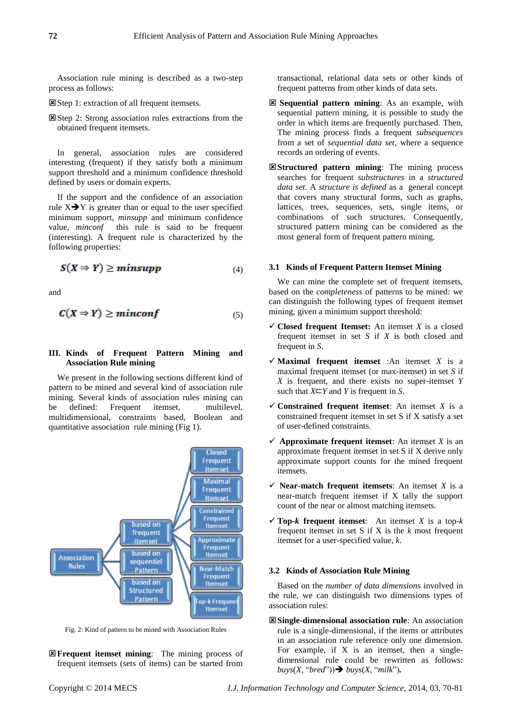Association rule mining is described as a two-step process as follows:

Step 1: extraction of all frequent itemsets.

Step 2: Strong association rules extractions from the obtained frequent itemsets.

In general, association rules are considered interesting (frequent) if they satisfy both a minimum support threshold and a minimum confidence threshold defined by users or domain experts.

If the support and the confidence of an association rule  $X \rightarrow Y$  is greater than or equal to the user specified minimum support, *minsupp* and minimum confidence value, *minconf* this rule is said to be frequent (interesting). A frequent rule is characterized by the following properties:

$$
S(X \Rightarrow Y) \geq minsupp \tag{4}
$$

and

$$
C(X \Rightarrow Y) \geq minconf \tag{5}
$$

# **III. Kinds of Frequent Pattern Mining and Association Rule mining**

We present in the following sections different kind of pattern to be mined and several kind of association rule mining. Several kinds of association rules mining can be defined: Frequent itemset, multilevel, multidimensional, constraints based, Boolean and quantitative association rule mining (Fig 1).



Fig. 2: Kind of pattern to be mined with Association Rules

**Ex Frequent itemset mining:** The mining process of frequent itemsets (sets of items) can be started from transactional, relational data sets or other kinds of frequent patterns from other kinds of data sets.

- **Sequential pattern mining**: As an example, with sequential pattern mining, it is possible to study the order in which items are frequently purchased. Then, The mining process finds a frequent *subsequences*  from a set of *sequential data set*, where a sequence records an ordering of events.
- **Structured pattern mining**: The mining process searches for frequent *substructures* in a *structured data set*. A *structure is defined* as a general concept that covers many structural forms, such as graphs, lattices, trees, sequences, sets, single items, or combinations of such structures. Consequently, structured pattern mining can be considered as the most general form of frequent pattern mining.

#### **3.1 Kinds of Frequent Pattern Itemset Mining**

We can mine the complete set of frequent itemsets, based on the *completeness* of patterns to be mined: we can distinguish the following types of frequent itemset mining, given a minimum support threshold:

- $\checkmark$  Closed frequent Itemset: An itemset *X* is a closed frequent itemset in set *S* if *X* is both closed and frequent in *S*.
- $\checkmark$  **Maximal frequent itemset** :An itemset *X* is a maximal frequent itemset (or max-itemset) in set *S* if *X* is frequent, and there exists no super-itemset *Y*  such that  $X \subseteq Y$  and *Y* is frequent in *S*.
- $\checkmark$  Constrained frequent itemset: An itemset *X* is a constrained frequent itemset in set S if X satisfy a set of user-defined constraints.
- $\checkmark$  Approximate frequent itemset: An itemset *X* is an approximate frequent itemset in set S if X derive only approximate support counts for the mined frequent itemsets.
- $\checkmark$  **Near-match frequent itemsets**: An itemset *X* is a near-match frequent itemset if X tally the support count of the near or almost matching itemsets.
- $\checkmark$  Top-*k* frequent itemset: An itemset *X* is a top-*k* frequent itemset in set S if X is the *k* most frequent itemset for a user-specified value, *k*.

## **3.2 Kinds of Association Rule Mining**

Based on the *number of data dimensions* involved in the rule, we can distinguish two dimensions types of association rules:

**Single-dimensional association rule**: An association rule is a single-dimensional, if the items or attributes in an association rule reference only one dimension. For example, if  $X$  is an itemset, then a singledimensional rule could be rewritten as follows:  $b u y s(X, 'b red')) \rightarrow b u y s(X, 'milk').$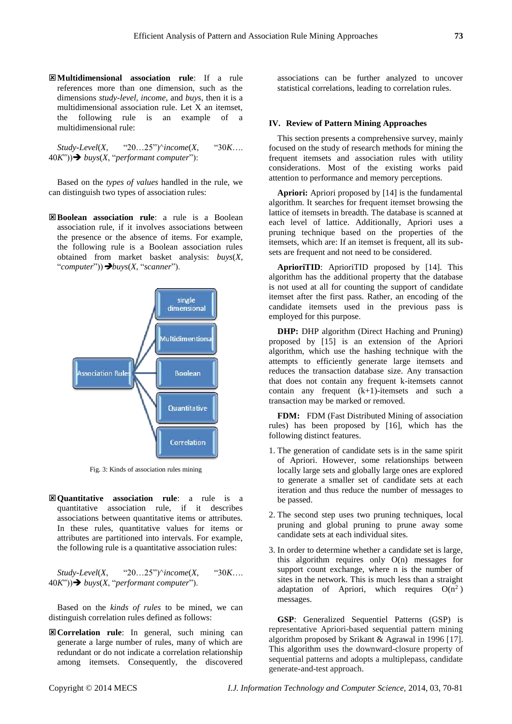**Multidimensional association rule**: If a rule references more than one dimension, such as the dimensions *study-level, income*, and *buys*, then it is a multidimensional association rule. Let X an itemset, the following rule is an example of a multidimensional rule:

*Study-Level*(*X*, "20…25")^*income*(*X*, "30*K*…. 40*K*")) *buys*(*X*, "*performant computer*"):

Based on the *types of values* handled in the rule, we can distinguish two types of association rules:

**Boolean association rule**: a rule is a Boolean association rule, if it involves associations between the presence or the absence of items. For example, the following rule is a Boolean association rules obtained from market basket analysis: *buys*(*X*, "*computer*"))*buys*(*X*, "*scanner*").



Fig. 3: Kinds of association rules mining

**Quantitative association rule**: a rule is a quantitative association rule, if it describes associations between quantitative items or attributes. In these rules, quantitative values for items or attributes are partitioned into intervals. For example, the following rule is a quantitative association rules:

*Study-Level*(*X*, "20…25")^*income*(*X*, "30*K*…. 40*K*")) *buys*(*X*, "*performant computer*").

Based on the *kinds of rules* to be mined, we can distinguish correlation rules defined as follows:

**Correlation rule**: In general, such mining can generate a large number of rules, many of which are redundant or do not indicate a correlation relationship among itemsets. Consequently, the discovered

associations can be further analyzed to uncover statistical correlations, leading to correlation rules.

#### **IV. Review of Pattern Mining Approaches**

This section presents a comprehensive survey, mainly focused on the study of research methods for mining the frequent itemsets and association rules with utility considerations. Most of the existing works paid attention to performance and memory perceptions.

**Apriori:** Apriori proposed by [14] is the fundamental algorithm. It searches for frequent itemset browsing the lattice of itemsets in breadth. The database is scanned at each level of lattice. Additionally, Apriori uses a pruning technique based on the properties of the itemsets, which are: If an itemset is frequent, all its subsets are frequent and not need to be considered.

**AprioriTID**: AprioriTID proposed by [14]. This algorithm has the additional property that the database is not used at all for counting the support of candidate itemset after the first pass. Rather, an encoding of the candidate itemsets used in the previous pass is employed for this purpose.

**DHP:** DHP algorithm (Direct Haching and Pruning) proposed by [15] is an extension of the Apriori algorithm, which use the hashing technique with the attempts to efficiently generate large itemsets and reduces the transaction database size. Any transaction that does not contain any frequent k-itemsets cannot contain any frequent (k+1)-itemsets and such a transaction may be marked or removed.

**FDM:** FDM (Fast Distributed Mining of association rules) has been proposed by [16], which has the following distinct features.

- 1. The generation of candidate sets is in the same spirit of Apriori. However, some relationships between locally large sets and globally large ones are explored to generate a smaller set of candidate sets at each iteration and thus reduce the number of messages to be passed.
- 2. The second step uses two pruning techniques, local pruning and global pruning to prune away some candidate sets at each individual sites.
- 3. In order to determine whether a candidate set is large, this algorithm requires only O(n) messages for support count exchange, where n is the number of sites in the network. This is much less than a straight adaptation of Apriori, which requires  $O(n^2)$ messages.

**GSP**: Generalized Sequentiel Patterns (GSP) is representative Apriori-based sequential pattern mining algorithm proposed by Srikant & Agrawal in 1996 [17]. This algorithm uses the downward-closure property of sequential patterns and adopts a multiplepass, candidate generate-and-test approach.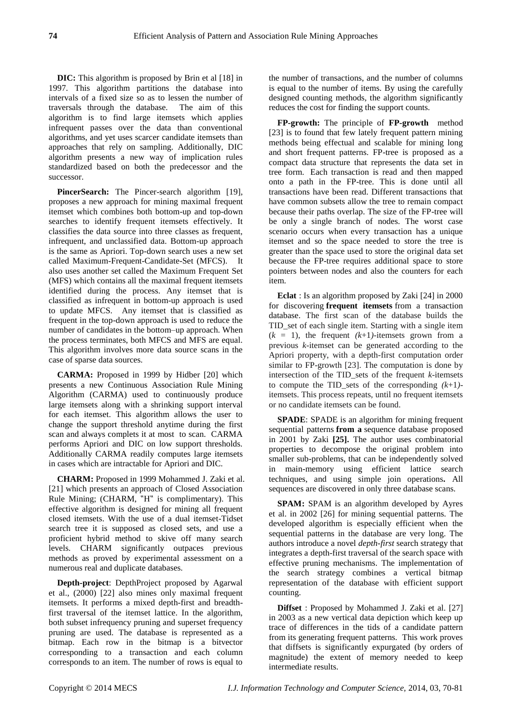**DIC:** This algorithm is proposed by Brin et al [18] in 1997. This algorithm partitions the database into intervals of a fixed size so as to lessen the number of traversals through the database. The aim of this algorithm is to find large itemsets which applies infrequent passes over the data than conventional algorithms, and yet uses scarcer candidate itemsets than approaches that rely on sampling. Additionally, DIC algorithm presents a new way of implication rules standardized based on both the predecessor and the successor.

PincerSearch: The Pincer-search algorithm [19], proposes a new approach for mining maximal frequent itemset which combines both bottom-up and top-down searches to identify frequent itemsets effectively. It classifies the data source into three classes as frequent, infrequent, and unclassified data. Bottom-up approach is the same as Apriori. Top-down search uses a new set called Maximum-Frequent-Candidate-Set (MFCS). It also uses another set called the Maximum Frequent Set (MFS) which contains all the maximal frequent itemsets identified during the process. Any itemset that is classified as infrequent in bottom-up approach is used to update MFCS. Any itemset that is classified as frequent in the top-down approach is used to reduce the number of candidates in the bottom–up approach. When the process terminates, both MFCS and MFS are equal. This algorithm involves more data source scans in the case of sparse data sources.

**CARMA:** Proposed in 1999 by Hidber [20] which presents a new Continuous Association Rule Mining Algorithm (CARMA) used to continuously produce large itemsets along with a shrinking support interval for each itemset. This algorithm allows the user to change the support threshold anytime during the first scan and always complets it at most to scan. CARMA performs Apriori and DIC on low support thresholds. Additionally CARMA readily computes large itemsets in cases which are intractable for Apriori and DIC.

**CHARM:** Proposed in 1999 Mohammed J. Zaki et al. [21] which presents an approach of Closed Association Rule Mining; (CHARM, "H" is complimentary). This effective algorithm is designed for mining all frequent closed itemsets. With the use of a dual itemset-Tidset search tree it is supposed as closed sets, and use a proficient hybrid method to skive off many search levels. CHARM significantly outpaces previous methods as proved by experimental assessment on a numerous real and duplicate databases.

**Depth-project**: DepthProject proposed by Agarwal et al., (2000) [22] also mines only maximal frequent itemsets. It performs a mixed depth-first and breadthfirst traversal of the itemset lattice. In the algorithm, both subset infrequency pruning and superset frequency pruning are used. The database is represented as a bitmap. Each row in the bitmap is a bitvector corresponding to a transaction and each column corresponds to an item. The number of rows is equal to

the number of transactions, and the number of columns is equal to the number of items. By using the carefully designed counting methods, the algorithm significantly reduces the cost for finding the support counts.

**FP-growth:** The principle of **FP-growth** method [23] is to found that few lately frequent pattern mining methods being effectual and scalable for mining long and short frequent patterns. FP-tree is proposed as a compact data structure that represents the data set in tree form. Each transaction is read and then mapped onto a path in the FP-tree. This is done until all transactions have been read. Different transactions that have common subsets allow the tree to remain compact because their paths overlap. The size of the FP-tree will be only a single branch of nodes. The worst case scenario occurs when every transaction has a unique itemset and so the space needed to store the tree is greater than the space used to store the original data set because the FP-tree requires additional space to store pointers between nodes and also the counters for each item.

**Eclat** : Is an algorithm proposed by Zaki [24] in 2000 for discovering **frequent itemsets** from a transaction database. The first scan of the database builds the TID\_set of each single item. Starting with a single item  $(k = 1)$ , the frequent  $(k+1)$ -itemsets grown from a previous *k*-itemset can be generated according to the Apriori property, with a depth-first computation order similar to FP-growth [23]. The computation is done by intersection of the TID\_sets of the frequent *k*-itemsets to compute the TID\_sets of the corresponding *(k*+1*)* itemsets. This process repeats, until no frequent itemsets or no candidate itemsets can be found.

**SPADE**: SPADE is an algorithm for mining frequent sequential patterns **from a** sequence database proposed in 2001 by Zaki **[25].** The author uses combinatorial properties to decompose the original problem into smaller sub-problems, that can be independently solved in main-memory using efficient lattice search techniques, and using simple join operations**.** All sequences are discovered in only three database scans.

**SPAM:** SPAM is an algorithm developed by Ayres et al. in 2002 [26] for mining sequential patterns. The developed algorithm is especially efficient when the sequential patterns in the database are very long. The authors introduce a novel *depth-first* search strategy that integrates a depth-first traversal of the search space with effective pruning mechanisms. The implementation of the search strategy combines a vertical bitmap representation of the database with efficient support counting.

**Diffset** : Proposed by Mohammed J. Zaki et al. [27] in 2003 as a new vertical data depiction which keep up trace of differences in the tids of a candidate pattern from its generating frequent patterns. This work proves that diffsets is significantly expurgated (by orders of magnitude) the extent of memory needed to keep intermediate results.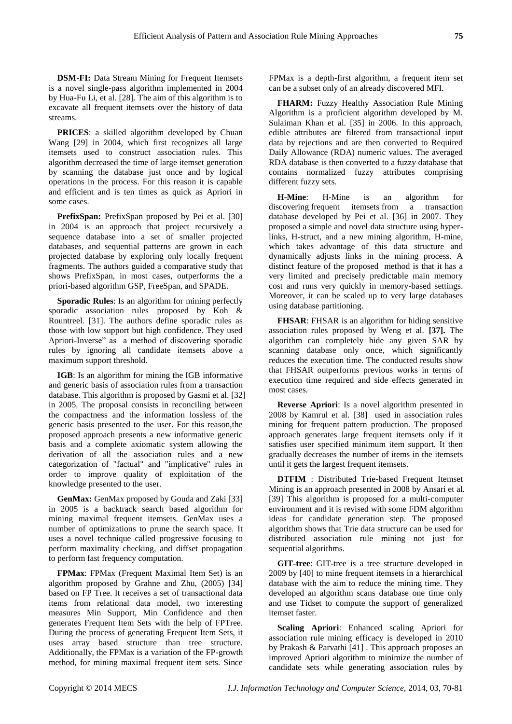**DSM-FI:** Data Stream Mining for Frequent Itemsets is a novel single-pass algorithm implemented in 2004 by Hua-Fu Li, et al. [28]. The aim of this algorithm is to excavate all frequent itemsets over the history of data streams.

**PRICES**: a skilled algorithm developed by Chuan Wang [29] in 2004, which first recognizes all large itemsets used to construct association rules. This algorithm decreased the time of large itemset generation by scanning the database just once and by logical operations in the process. For this reason it is capable and efficient and is ten times as quick as Apriori in some cases.

**PrefixSpan:** PrefixSpan proposed by Pei et al. [30] in 2004 is an approach that project recursively a sequence database into a set of smaller projected databases, and sequential patterns are grown in each projected database by exploring only locally frequent fragments. The authors guided a comparative study that shows PrefixSpan, in most cases, outperforms the a priori-based algorithm GSP, FreeSpan, and SPADE.

**Sporadic Rules**: Is an algorithm for mining perfectly sporadic association rules proposed by Koh & Rountreel. [31]. The authors define sporadic rules as those with low support but high confidence. They used Apriori-Inverse" as a method of discovering sporadic rules by ignoring all candidate itemsets above a maximum support threshold.

**IGB**: Is an algorithm for mining the IGB informative and generic basis of association rules from a transaction database. This algorithm is proposed by Gasmi et al. [32] in 2005. The proposal consists in reconciling between the compactness and the information lossless of the generic basis presented to the user. For this reason,the proposed approach presents a new informative generic basis and a complete axiomatic system allowing the derivation of all the association rules and a new categorization of "factual" and "implicative" rules in order to improve quality of exploitation of the knowledge presented to the user.

**GenMax:** GenMax proposed by Gouda and Zaki [33] in 2005 is a backtrack search based algorithm for mining maximal frequent itemsets. GenMax uses a number of optimizations to prune the search space. It uses a novel technique called progressive focusing to perform maximality checking, and diffset propagation to perform fast frequency computation.

**FPMax**: FPMax (Frequent Maximal Item Set) is an algorithm proposed by Grahne and Zhu, (2005) [34] based on FP Tree. It receives a set of transactional data items from relational data model, two interesting measures Min Support, Min Confidence and then generates Frequent Item Sets with the help of FPTree. During the process of generating Frequent Item Sets, it uses array based structure than tree structure. Additionally, the FPMax is a variation of the FP-growth method, for mining maximal frequent item sets. Since

FPMax is a depth-first algorithm, a frequent item set can be a subset only of an already discovered MFI.

**FHARM:** Fuzzy Healthy Association Rule Mining Algorithm is a proficient algorithm developed by M. Sulaiman Khan et al. [35] in 2006. In this approach, edible attributes are filtered from transactional input data by rejections and are then converted to Required Daily Allowance (RDA) numeric values. The averaged RDA database is then converted to a fuzzy database that contains normalized fuzzy attributes comprising different fuzzy sets.

**H-Mine**: H-Mine is an algorithm for discovering frequent itemsets from a transaction database developed by Pei et al. [36] in 2007. They proposed a simple and novel data structure using hyperlinks, H-struct, and a new mining algorithm, H-mine, which takes advantage of this data structure and dynamically adjusts links in the mining process. A distinct feature of the proposed method is that it has a very limited and precisely predictable main memory cost and runs very quickly in memory-based settings. Moreover, it can be scaled up to very large databases using database partitioning.

**FHSAR**: FHSAR is an algorithm for hiding sensitive association rules proposed by Weng et al. **[37].** The algorithm can completely hide any given SAR by scanning database only once, which significantly reduces the execution time. The conducted results show that FHSAR outperforms previous works in terms of execution time required and side effects generated in most cases.

**Reverse Apriori**: Is a novel algorithm presented in 2008 by Kamrul et al. [38] used in association rules mining for frequent pattern production. The proposed approach generates large frequent itemsets only if it satisfies user specified minimum item support. It then gradually decreases the number of items in the itemsets until it gets the largest frequent itemsets.

**DTFIM** : Distributed Trie-based Frequent Itemset Mining is an approach presented in 2008 by Ansari et al. [39] This algorithm is proposed for a multi-computer environment and it is revised with some FDM algorithm ideas for candidate generation step. The proposed algorithm shows that Trie data structure can be used for distributed association rule mining not just for sequential algorithms.

**GIT-tree**: GIT-tree is a tree structure developed in 2009 by [40] to mine frequent itemsets in a hierarchical database with the aim to reduce the mining time. They developed an algorithm scans database one time only and use Tidset to compute the support of generalized itemset faster.

**Scaling Apriori**: Enhanced scaling Apriori for association rule mining efficacy is developed in 2010 by Prakash & Parvathi [41] . This approach proposes an improved Apriori algorithm to minimize the number of candidate sets while generating association rules by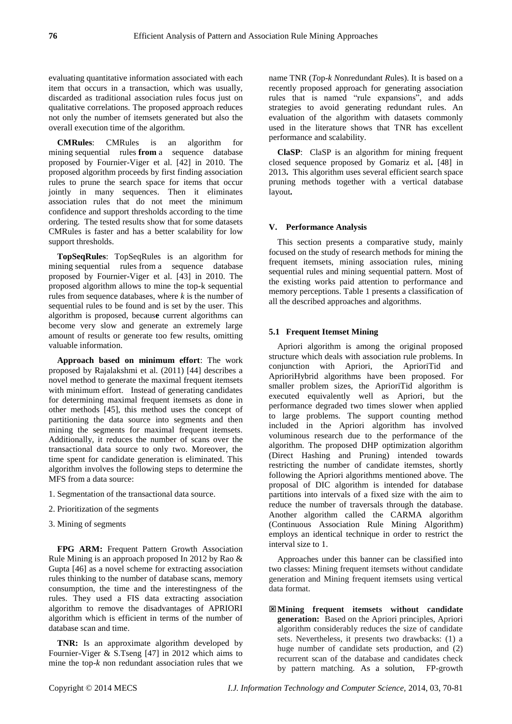evaluating quantitative information associated with each item that occurs in a transaction, which was usually, discarded as traditional association rules focus just on qualitative correlations. The proposed approach reduces not only the number of itemsets generated but also the overall execution time of the algorithm.

**CMRules**: CMRules is an algorithm for mining sequential rules **from** a sequence database proposed by Fournier-Viger et al. [42] in 2010. The proposed algorithm proceeds by first finding association rules to prune the search space for items that occur jointly in many sequences. Then it eliminates association rules that do not meet the minimum confidence and support thresholds according to the time ordering. The tested results show that for some datasets CMRules is faster and has a better scalability for low support thresholds.

**TopSeqRules**: TopSeqRules is an algorithm for mining sequential rules from a sequence database proposed by Fournier-Viger et al. [43] in 2010. The proposed algorithm allows to mine the top-k sequential rules from sequence databases, where *k* is the number of sequential rules to be found and is set by the user. This algorithm is proposed, becaus**e** current algorithms can become very slow and generate an extremely large amount of results or generate too few results, omitting valuable information.

**Approach based on minimum effort**: The work proposed by Rajalakshmi et al. (2011) [44] describes a novel method to generate the maximal frequent itemsets with minimum effort. Instead of generating candidates for determining maximal frequent itemsets as done in other methods [45], this method uses the concept of partitioning the data source into segments and then mining the segments for maximal frequent itemsets. Additionally, it reduces the number of scans over the transactional data source to only two. Moreover, the time spent for candidate generation is eliminated. This algorithm involves the following steps to determine the MFS from a data source:

- 1. Segmentation of the transactional data source.
- 2. Prioritization of the segments
- 3. Mining of segments

**FPG ARM:** Frequent Pattern Growth Association Rule Mining is an approach proposed In 2012 by Rao & Gupta [46] as a novel scheme for extracting association rules thinking to the number of database scans, memory consumption, the time and the interestingness of the rules. They used a FIS data extracting association algorithm to remove the disadvantages of APRIORI algorithm which is efficient in terms of the number of database scan and time.

**TNR:** Is an approximate algorithm developed by Fournier-Viger & S.Tseng [47] in 2012 which aims to mine the top-*k* non redundant association rules that we

name TNR (*T*op-*k N*onredundant *R*ules). It is based on a recently proposed approach for generating association rules that is named "rule expansions", and adds strategies to avoid generating redundant rules. An evaluation of the algorithm with datasets commonly used in the literature shows that TNR has excellent performance and scalability.

**ClaSP**: ClaSP is an algorithm for mining frequent closed sequence proposed by Gomariz et al**.** [48] in 2013**.** This algorithm uses several efficient search space pruning methods together with a vertical database layout**.**

# **V. Performance Analysis**

This section presents a comparative study, mainly focused on the study of research methods for mining the frequent itemsets, mining association rules, mining sequential rules and mining sequential pattern. Most of the existing works paid attention to performance and memory perceptions. Table 1 presents a classification of all the described approaches and algorithms.

# **5.1 Frequent Itemset Mining**

Apriori algorithm is among the original proposed structure which deals with association rule problems. In conjunction with Apriori, the AprioriTid and AprioriHybrid algorithms have been proposed. For smaller problem sizes, the AprioriTid algorithm is executed equivalently well as Apriori, but the performance degraded two times slower when applied to large problems. The support counting method included in the Apriori algorithm has involved voluminous research due to the performance of the algorithm. The proposed DHP optimization algorithm (Direct Hashing and Pruning) intended towards restricting the number of candidate itemstes, shortly following the Apriori algorithms mentioned above. The proposal of DIC algorithm is intended for database partitions into intervals of a fixed size with the aim to reduce the number of traversals through the database. Another algorithm called the CARMA algorithm (Continuous Association Rule Mining Algorithm) employs an identical technique in order to restrict the interval size to 1.

Approaches under this banner can be classified into two classes: Mining frequent itemsets without candidate generation and Mining frequent itemsets using vertical data format.

**Mining frequent itemsets without candidate generation:** Based on the Apriori principles, Apriori algorithm considerably reduces the size of candidate sets. Nevertheless, it presents two drawbacks: (1) a huge number of candidate sets production, and (2) recurrent scan of the database and candidates check by pattern matching. As a solution,FP-growth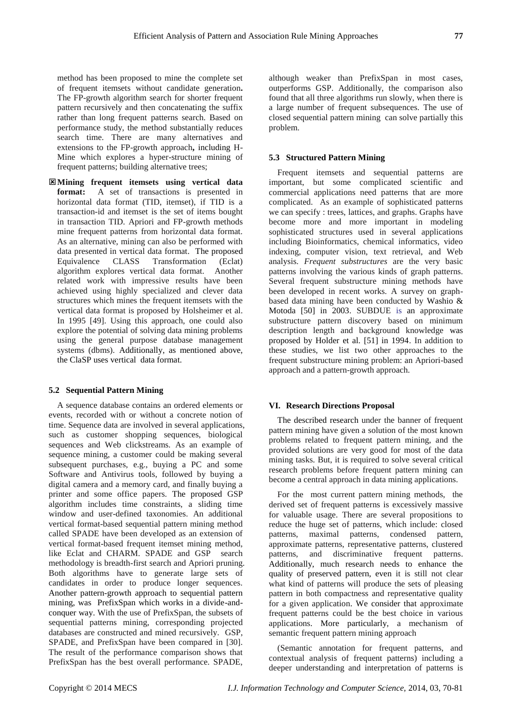method has been proposed to mine the complete set of frequent itemsets without candidate generation**.**  The FP-growth algorithm search for shorter frequent pattern recursively and then concatenating the suffix rather than long frequent patterns search. Based on performance study, the method substantially reduces search time. There are many alternatives and extensions to the FP-growth approach**,** including H-Mine which explores a hyper-structure mining of frequent patterns; building alternative trees;

**Mining frequent itemsets using vertical data format:** A set of transactions is presented in horizontal data format (TID, itemset), if TID is a transaction-id and itemset is the set of items bought in transaction TID. Apriori and FP-growth methods mine frequent patterns from horizontal data format. As an alternative, mining can also be performed with data presented in vertical data format. The proposed<br>Equivalence CLASS Transformation (Eclat) Equivalence CLASS Transformation algorithm explores vertical data format. Another related work with impressive results have been achieved using highly specialized and clever data structures which mines the frequent itemsets with the vertical data format is proposed by Holsheimer et al. In 1995 [49]. Using this approach, one could also explore the potential of solving data mining problems using the general purpose database management systems (dbms). Additionally, as mentioned above, the ClaSP uses vertical data format.

#### **5.2 Sequential Pattern Mining**

A sequence database contains an ordered elements or events, recorded with or without a concrete notion of time. Sequence data are involved in several applications, such as customer shopping sequences, biological sequences and Web clickstreams. As an example of sequence mining, a customer could be making several subsequent purchases, e.g., buying a PC and some Software and Antivirus tools, followed by buying a digital camera and a memory card, and finally buying a printer and some office papers. The proposed GSP algorithm includes time constraints, a sliding time window and user-defined taxonomies. An additional vertical format-based sequential pattern mining method called SPADE have been developed as an extension of vertical format-based frequent itemset mining method, like Eclat and CHARM. SPADE and GSP search methodology is breadth-first search and Apriori pruning. Both algorithms have to generate large sets of candidates in order to produce longer sequences. Another pattern-growth approach to sequential pattern mining, was PrefixSpan which works in a divide-andconquer way. With the use of PrefixSpan, the subsets of sequential patterns mining, corresponding projected databases are constructed and mined recursively. GSP, SPADE, and PrefixSpan have been compared in [30]. The result of the performance comparison shows that PrefixSpan has the best overall performance. SPADE,

although weaker than PrefixSpan in most cases, outperforms GSP. Additionally, the comparison also found that all three algorithms run slowly, when there is a large number of frequent subsequences. The use of closed sequential pattern mining can solve partially this problem.

# **5.3 Structured Pattern Mining**

Frequent itemsets and sequential patterns are important, but some complicated scientific and commercial applications need patterns that are more complicated. As an example of sophisticated patterns we can specify : trees, lattices, and graphs. Graphs have become more and more important in modeling sophisticated structures used in several applications including Bioinformatics, chemical informatics, video indexing, computer vision, text retrieval, and Web analysis. *Frequent substructures* are the very basic patterns involving the various kinds of graph patterns. Several frequent substructure mining methods have been developed in recent works. A survey on graphbased data mining have been conducted by Washio & Motoda [50] in 2003. SUBDUE is an approximate substructure pattern discovery based on minimum description length and background knowledge was proposed by Holder et al. [51] in 1994. In addition to these studies, we list two other approaches to the frequent substructure mining problem: an Apriori-based approach and a pattern-growth approach.

## **VI. Research Directions Proposal**

The described research under the banner of frequent pattern mining have given a solution of the most known problems related to frequent pattern mining, and the provided solutions are very good for most of the data mining tasks. But, it is required to solve several critical research problems before frequent pattern mining can become a central approach in data mining applications.

For the most current pattern mining methods, the derived set of frequent patterns is excessively massive for valuable usage. There are several propositions to reduce the huge set of patterns, which include: closed patterns, maximal patterns, condensed pattern, approximate patterns, representative patterns, clustered patterns, and discriminative frequent patterns. Additionally, much research needs to enhance the quality of preserved pattern, even it is still not clear what kind of patterns will produce the sets of pleasing pattern in both compactness and representative quality for a given application. We consider that approximate frequent patterns could be the best choice in various applications. More particularly, a mechanism of semantic frequent pattern mining approach

(Semantic annotation for frequent patterns, and contextual analysis of frequent patterns) including a deeper understanding and interpretation of patterns is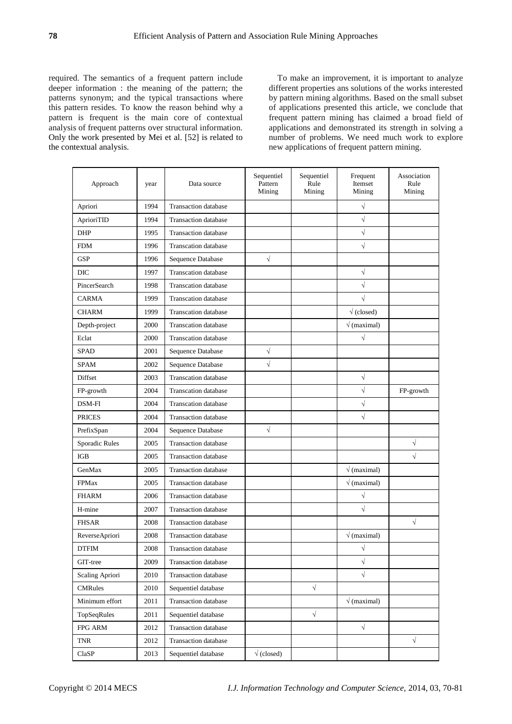required. The semantics of a frequent pattern include deeper information : the meaning of the pattern; the patterns synonym; and the typical transactions where this pattern resides. To know the reason behind why a pattern is frequent is the main core of contextual analysis of frequent patterns over structural information. Only the work presented by Mei et al. [52] is related to the contextual analysis.

To make an improvement, it is important to analyze different properties ans solutions of the works interested by pattern mining algorithms. Based on the small subset of applications presented this article, we conclude that frequent pattern mining has claimed a broad field of applications and demonstrated its strength in solving a number of problems. We need much work to explore new applications of frequent pattern mining.

| Approach        | year | Data source                 | Sequentiel<br>Pattern<br>Mining | Sequentiel<br>Rule<br>Mining | Frequent<br>Itemset<br>Mining | Association<br>Rule<br>Mining |
|-----------------|------|-----------------------------|---------------------------------|------------------------------|-------------------------------|-------------------------------|
| Apriori         | 1994 | <b>Transaction</b> database |                                 |                              | $\sqrt{}$                     |                               |
| AprioriTID      | 1994 | <b>Transaction</b> database |                                 |                              | $\sqrt{}$                     |                               |
| <b>DHP</b>      | 1995 | <b>Transaction</b> database |                                 |                              | $\sqrt{ }$                    |                               |
| <b>FDM</b>      | 1996 | <b>Transcation</b> database |                                 |                              | $\sqrt{}$                     |                               |
| <b>GSP</b>      | 1996 | Sequence Database           | $\sqrt{}$                       |                              |                               |                               |
| <b>DIC</b>      | 1997 | <b>Transcation</b> database |                                 |                              | $\sqrt{}$                     |                               |
| PincerSearch    | 1998 | <b>Transcation database</b> |                                 |                              | $\sqrt{}$                     |                               |
| <b>CARMA</b>    | 1999 | <b>Transcation</b> database |                                 |                              | $\sqrt{}$                     |                               |
| <b>CHARM</b>    | 1999 | <b>Transcation</b> database |                                 |                              | $\sqrt{(closed)}$             |                               |
| Depth-project   | 2000 | <b>Transcation</b> database |                                 |                              | $\sqrt{(maximal)}$            |                               |
| Eclat           | 2000 | <b>Transcation</b> database |                                 |                              | $\sqrt{}$                     |                               |
| <b>SPAD</b>     | 2001 | Sequence Database           | $\sqrt{}$                       |                              |                               |                               |
| <b>SPAM</b>     | 2002 | Sequence Database           | $\sqrt{}$                       |                              |                               |                               |
| Diffset         | 2003 | <b>Transcation database</b> |                                 |                              | $\sqrt{}$                     |                               |
| FP-growth       | 2004 | <b>Transcation database</b> |                                 |                              | $\sqrt{ }$                    | FP-growth                     |
| DSM-FI          | 2004 | <b>Transcation</b> database |                                 |                              | $\sqrt{}$                     |                               |
| <b>PRICES</b>   | 2004 | <b>Transaction</b> database |                                 |                              | $\sqrt{}$                     |                               |
| PrefixSpan      | 2004 | Sequence Database           | $\sqrt{}$                       |                              |                               |                               |
| Sporadic Rules  | 2005 | <b>Transaction</b> database |                                 |                              |                               | $\sqrt{}$                     |
| <b>IGB</b>      | 2005 | <b>Transaction</b> database |                                 |                              |                               | $\sqrt{}$                     |
| GenMax          | 2005 | <b>Transaction</b> database |                                 |                              | $\sqrt{(maximal)}$            |                               |
| <b>FPMax</b>    | 2005 | <b>Transaction</b> database |                                 |                              | $\sqrt{(maximal)}$            |                               |
| <b>FHARM</b>    | 2006 | <b>Transaction</b> database |                                 |                              | $\sqrt{}$                     |                               |
| H-mine          | 2007 | <b>Transaction</b> database |                                 |                              | $\sqrt{ }$                    |                               |
| <b>FHSAR</b>    | 2008 | <b>Transaction database</b> |                                 |                              |                               | $\sqrt{}$                     |
| ReverseApriori  | 2008 | <b>Transaction database</b> |                                 |                              | $\sqrt{(maximal)}$            |                               |
| <b>DTFIM</b>    | 2008 | <b>Transaction database</b> |                                 |                              | $\sqrt{}$                     |                               |
| GIT-tree        | 2009 | Transaction database        |                                 |                              | $\sqrt{}$                     |                               |
| Scaling Apriori | 2010 | <b>Transaction</b> database |                                 |                              | $\sqrt{}$                     |                               |
| <b>CMRules</b>  | 2010 | Sequentiel database         |                                 | $\sqrt{}$                    |                               |                               |
| Minimum effort  | 2011 | Transaction database        |                                 |                              | $\sqrt{(maximal)}$            |                               |
| TopSeqRules     | 2011 | Sequentiel database         |                                 | $\sqrt{}$                    |                               |                               |
| FPG ARM         | 2012 | <b>Transaction</b> database |                                 |                              | $\sqrt{}$                     |                               |
| <b>TNR</b>      | 2012 | <b>Transaction database</b> |                                 |                              |                               | $\sqrt{ }$                    |
| ClaSP           | 2013 | Sequentiel database         | $\sqrt{(closed)}$               |                              |                               |                               |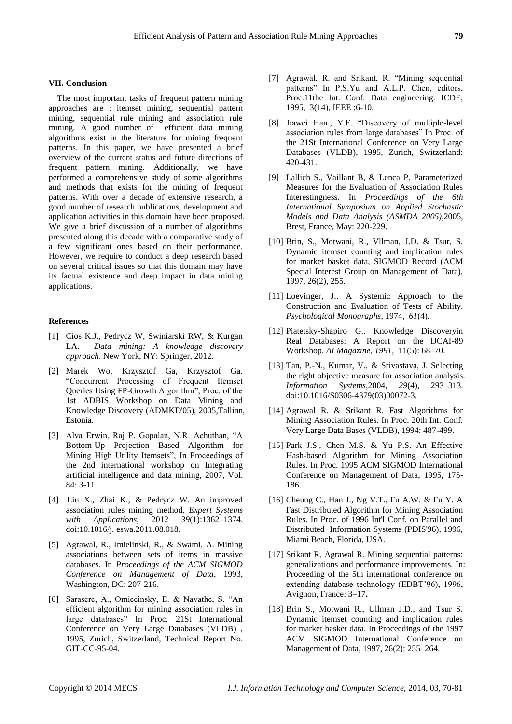## **VII. Conclusion**

The most important tasks of frequent pattern mining approaches are : itemset mining, sequential pattern mining, sequential rule mining and association rule mining. A good number of efficient data mining algorithms exist in the literature for mining frequent patterns. In this paper, we have presented a brief overview of the current status and future directions of frequent pattern mining. Additionally, we have performed a comprehensive study of some algorithms and methods that exists for the mining of frequent patterns. With over a decade of extensive research, a good number of research publications, development and application activities in this domain have been proposed. We give a brief discussion of a number of algorithms presented along this decade with a comparative study of a few significant ones based on their performance. However, we require to conduct a deep research based on several critical issues so that this domain may have its factual existence and deep impact in data mining applications.

## **References**

- [1] Cios K.J., Pedrycz W, Swiniarski RW, & Kurgan LA. *Data mining: A knowledge discovery approach*. New York, NY: Springer, 2012.
- [2] Marek Wo, Krzysztof Ga, Krzysztof Ga. "Concurrent Processing of Frequent Itemset Queries Using FP-Growth Algorithm", Proc. of the 1st ADBIS Workshop on Data Mining and Knowledge Discovery (ADMKD'05), 2005,Tallinn, Estonia.
- [3] Alva Erwin, Raj P. Gopalan, N.R. Achuthan, "A Bottom-Up Projection Based Algorithm for Mining High Utility Itemsets", In Proceedings of the 2nd international workshop on Integrating artificial intelligence and data mining, 2007, Vol. 84: 3-11.
- [4] Liu X., Zhai K., & Pedrycz W. An improved association rules mining method. *Expert Systems with Applications*, 2012 *39*(1):1362–1374. doi:10.1016/j. eswa.2011.08.018.
- [5] Agrawal, R., Imielinski, R., & Swami, A. Mining associations between sets of items in massive databases. In *Proceedings of the ACM SIGMOD Conference on Management of Data*, 1993, Washington, DC: 207-216.
- [6] Sarasere, A., Omiecinsky, E. & Navathe, S. "An efficient algorithm for mining association rules in large databases" In Proc. 21St International Conference on Very Large Databases (VLDB) , 1995, Zurich, Switzerland, Technical Report No. GIT-CC-95-04.
- [7] Agrawal, R. and Srikant, R. "Mining sequential patterns" In P.S.Yu and A.L.P. Chen, editors, Proc.11the Int. Conf. Data engineering. ICDE, 1995, 3(14), IEEE :6-10.
- [8] Jiawei Han., Y.F. "Discovery of multiple-level association rules from large databases" In Proc. of the 21St International Conference on Very Large Databases (VLDB), 1995, Zurich, Switzerland: 420-431.
- [9] Lallich S., Vaillant B, & Lenca P. Parameterized Measures for the Evaluation of Association Rules Interestingness. In *Proceedings of the 6th International Symposium on Applied Stochastic Models and Data Analysis (ASMDA 2005)*,2005, Brest, France, May: 220-229.
- [10] Brin, S., Motwani, R., Vllman, J.D. & Tsur, S. Dynamic itemset counting and implication rules for market basket data, SIGMOD Record (ACM Special Interest Group on Management of Data), 1997, 26(2), 255.
- [11] Loevinger, J.. A Systemic Approach to the Construction and Evaluation of Tests of Ability. *Psychological Monographs*, 1974, *61*(4).
- [12] Piatetsky-Shapiro G.. Knowledge Discoveryin Real Databases: A Report on the IJCAI-89 Workshop. *AI Magazine, 1991,* 11(5): 68–70.
- [13] Tan, P.-N., Kumar, V., & Srivastava, J. Selecting the right objective measure for association analysis. *Information Systems*,2004, *29*(4), 293–313. doi:10.1016/S0306-4379(03)00072-3.
- [14] Agrawal R. & Srikant R. Fast Algorithms for Mining Association Rules. In Proc. 20th Int. Conf. Very Large Data Bases (VLDB), 1994: 487-499.
- [15] Park J.S., Chen M.S. & Yu P.S. An Effective Hash-based Algorithm for Mining Association Rules. In Proc. 1995 ACM SIGMOD International Conference on Management of Data, 1995, 175- 186.
- [16] Cheung C., Han J., Ng V.T., Fu A.W. & Fu Y. A Fast Distributed Algorithm for Mining Association Rules. In Proc. of 1996 Int'l Conf. on Parallel and Distributed Information Systems (PDIS'96), 1996, Miami Beach, Florida, USA.
- [17] Srikant R, Agrawal R. Mining sequential patterns: generalizations and performance improvements. In: Proceeding of the 5th international conference on extending database technology (EDBT'96), 1996, Avignon, France: 3–17**.**
- [18] Brin S., Motwani R., Ullman J.D., and Tsur S. Dynamic itemset counting and implication rules for market basket data. In Proceedings of the 1997 ACM SIGMOD International Conference on Management of Data, 1997, 26(2): 255–264.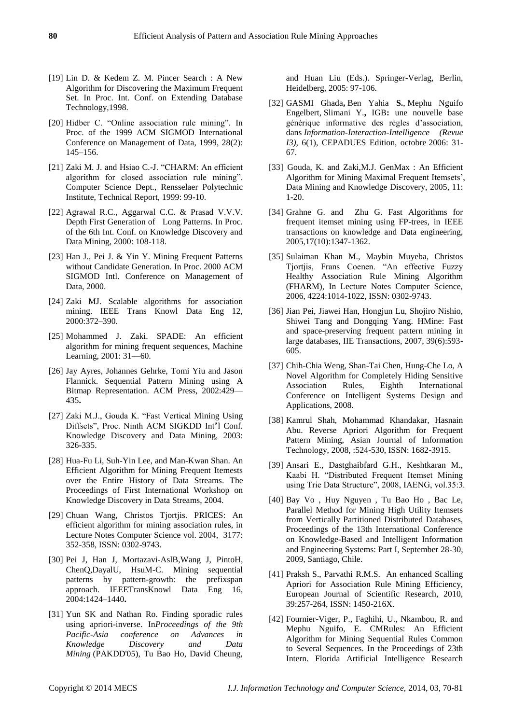- [19] Lin D. & Kedem Z. M. Pincer Search : A New Algorithm for Discovering the Maximum Frequent Set. In Proc. Int. Conf. on Extending Database Technology,1998.
- [20] Hidber C. "Online association rule mining". In Proc. of the 1999 ACM SIGMOD International Conference on Management of Data, 1999, 28(2): 145–156.
- [21] Zaki M. J. and Hsiao C.-J. "CHARM: An efficient algorithm for closed association rule mining". Computer Science Dept., Rensselaer Polytechnic Institute, Technical Report, 1999: 99-10.
- [22] Agrawal R.C., Aggarwal C.C. & Prasad V.V.V. Depth First Generation of Long Patterns. In Proc. of the 6th Int. Conf. on Knowledge Discovery and Data Mining, 2000: 108-118.
- [23] Han J., Pei J. & Yin Y. Mining Frequent Patterns without Candidate Generation. In Proc. 2000 ACM SIGMOD Intl. Conference on Management of Data, 2000.
- [24] Zaki MJ. Scalable algorithms for association mining. IEEE Trans Knowl Data Eng 12, 2000:372–390.
- [25] Mohammed J. Zaki. SPADE: An efficient algorithm for mining frequent sequences, Machine Learning, 2001: 31—60.
- [26] Jay Ayres, Johannes Gehrke, Tomi Yiu and Jason Flannick. Sequential Pattern Mining using A Bitmap Representation. ACM Press, 2002:429— 435**.**
- [27] Zaki M.J., Gouda K. "Fast Vertical Mining Using Diffsets", Proc. Ninth ACM SIGKDD Int"l Conf. Knowledge Discovery and Data Mining, 2003: 326-335.
- [28] Hua-Fu Li, Suh-Yin Lee, and Man-Kwan Shan. An Efficient Algorithm for Mining Frequent Itemests over the Entire History of Data Streams. The Proceedings of First International Workshop on Knowledge Discovery in Data Streams, 2004.
- [29] Chuan Wang, Christos Tjortjis. PRICES: An efficient algorithm for mining association rules, in Lecture Notes Computer Science vol. 2004, 3177: 352-358, ISSN: 0302-9743.
- [30] Pei J, Han J, Mortazavi-AslB,Wang J, PintoH, ChenQ,DayalU, HsuM-C. Mining sequential patterns by pattern-growth: the prefixspan approach. IEEETransKnowl Data Eng 16, 2004:1424–1440**.**
- [31] Yun SK and Nathan Ro. Finding sporadic rules using apriori-inverse. In*Proceedings of the 9th Pacific-Asia conference on Advances in Knowledge Discovery and Data Mining* (PAKDD'05), Tu Bao Ho, David Cheung,

and Huan Liu (Eds.). Springer-Verlag, Berlin, Heidelberg, 2005: 97-106.

- [32] GASMI Ghada**,** Ben Yahia **S.**, Mephu Nguifo Engelbert, Slimani Y.**,** IGB**:** une nouvelle base générique informative des règles d'association, dans *Information-Interaction-Intelligence (Revue I3)*, 6(1), CEPADUES Edition, octobre 2006: 31- 67.
- [33] Gouda, K. and Zaki,M.J. GenMax : An Efficient Algorithm for Mining Maximal Frequent Itemsets', Data Mining and Knowledge Discovery, 2005, 11: 1-20.
- [34] Grahne G. and Zhu G. Fast Algorithms for frequent itemset mining using FP-trees, in IEEE transactions on knowledge and Data engineering, 2005,17(10):1347-1362.
- [35] Sulaiman Khan M., Maybin Muyeba, Christos Tjortjis, Frans Coenen. "An effective Fuzzy Healthy Association Rule Mining Algorithm (FHARM), In Lecture Notes Computer Science, 2006, 4224:1014-1022, ISSN: 0302-9743.
- [36] Jian Pei, Jiawei Han, Hongjun Lu, Shojiro Nishio, Shiwei Tang and Dongqing Yang. HMine: Fast and space-preserving frequent pattern mining in large databases, IIE Transactions, 2007, 39(6):593- 605.
- [37] Chih-Chia Weng, Shan-Tai Chen, Hung-Che Lo, A Novel Algorithm for Completely Hiding Sensitive Association Rules, Eighth International Conference on Intelligent Systems Design and Applications, 2008.
- [38] Kamrul Shah, Mohammad Khandakar, Hasnain Abu. Reverse Apriori Algorithm for Frequent Pattern Mining, Asian Journal of Information Technology, 2008, :524-530, ISSN: 1682-3915.
- [39] Ansari E., Dastghaibfard G.H., Keshtkaran M., Kaabi H. "Distributed Frequent Itemset Mining using Trie Data Structure", 2008, IAENG, vol.35:3.
- [40] Bay Vo , Huy Nguyen , Tu Bao Ho , Bac Le, Parallel Method for Mining High Utility Itemsets from Vertically Partitioned Distributed Databases, Proceedings of the 13th International Conference on Knowledge-Based and Intelligent Information and Engineering Systems: Part I, September 28-30, 2009, Santiago, Chile.
- [41] Praksh S., Parvathi R.M.S. An enhanced Scalling Apriori for Association Rule Mining Efficiency, European Journal of Scientific Research, 2010, 39:257-264, ISSN: 1450-216X.
- [42] Fournier-Viger, P., Faghihi, U., Nkambou, R. and Mephu Nguifo, E. CMRules: An Efficient Algorithm for Mining Sequential Rules Common to Several Sequences. In the Proceedings of 23th Intern. Florida Artificial Intelligence Research